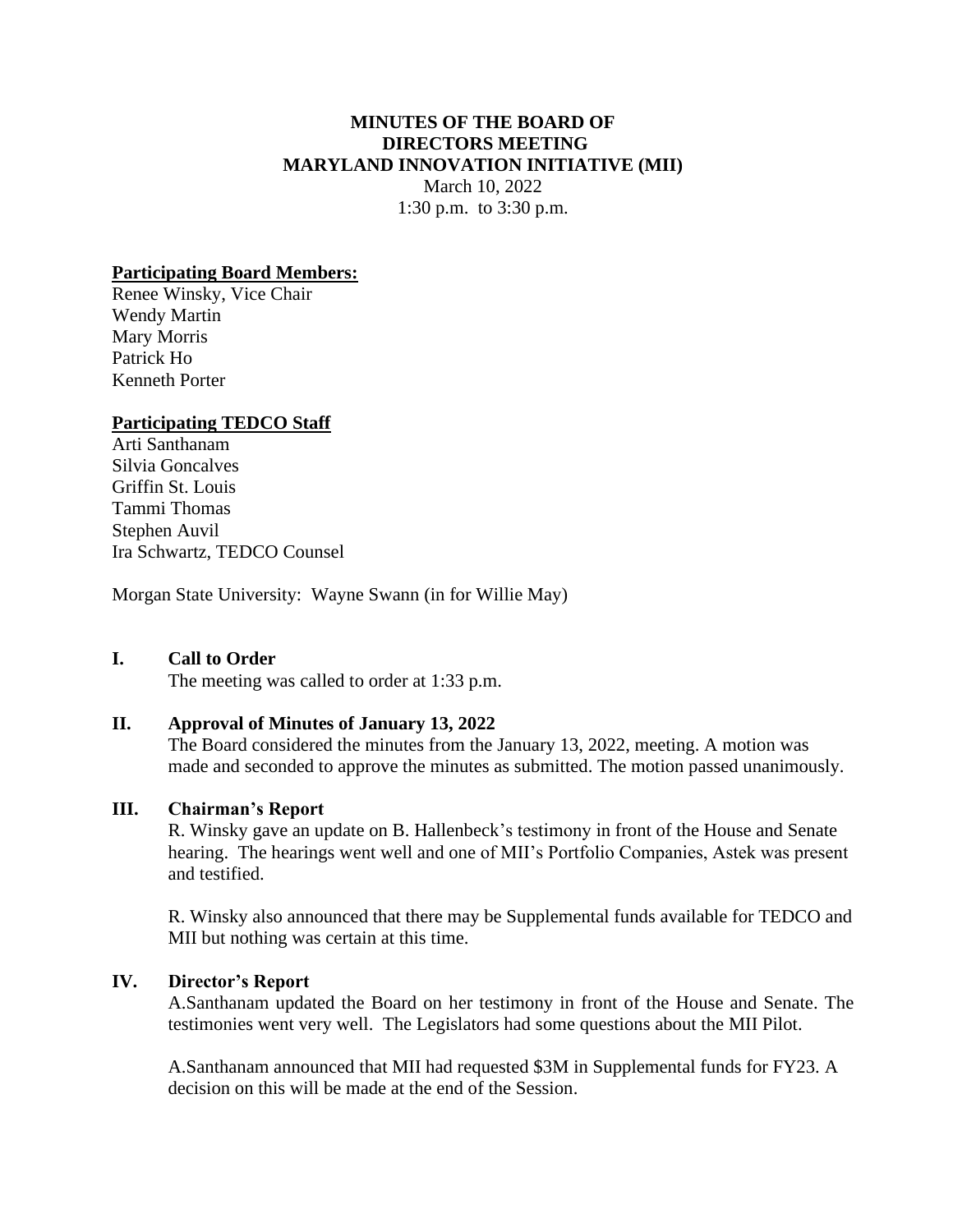# **MINUTES OF THE BOARD OF DIRECTORS MEETING MARYLAND INNOVATION INITIATIVE (MII)**  March 10, 2022

1:30 p.m. to 3:30 p.m.

## **Participating Board Members:**

Renee Winsky, Vice Chair Wendy Martin Mary Morris Patrick Ho Kenneth Porter

#### **Participating TEDCO Staff**

Arti Santhanam Silvia Goncalves Griffin St. Louis Tammi Thomas Stephen Auvil Ira Schwartz, TEDCO Counsel

Morgan State University: Wayne Swann (in for Willie May)

#### **I. Call to Order**

The meeting was called to order at 1:33 p.m.

## **II. Approval of Minutes of January 13, 2022**

The Board considered the minutes from the January 13, 2022, meeting. A motion was made and seconded to approve the minutes as submitted. The motion passed unanimously.

#### **III. Chairman's Report**

R. Winsky gave an update on B. Hallenbeck's testimony in front of the House and Senate hearing. The hearings went well and one of MII's Portfolio Companies, Astek was present and testified.

R. Winsky also announced that there may be Supplemental funds available for TEDCO and MII but nothing was certain at this time.

#### **IV. Director's Report**

A.Santhanam updated the Board on her testimony in front of the House and Senate. The testimonies went very well. The Legislators had some questions about the MII Pilot.

A.Santhanam announced that MII had requested \$3M in Supplemental funds for FY23. A decision on this will be made at the end of the Session.